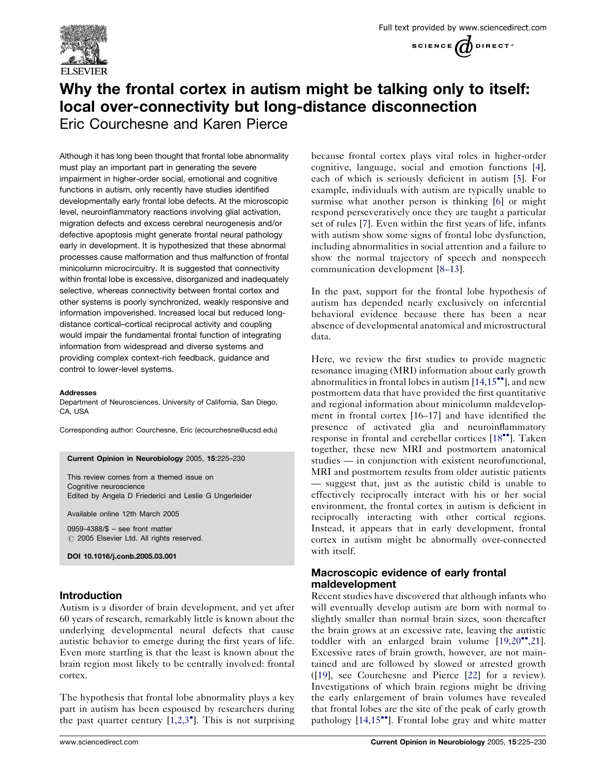

# Why the frontal cortex in autism might be talking only to itself: local over-connectivity but long-distance disconnection

Eric Courchesne and Karen Pierce

Although it has long been thought that frontal lobe abnormality must play an important part in generating the severe impairment in higher-order social, emotional and cognitive functions in autism, only recently have studies identified developmentally early frontal lobe defects. At the microscopic level, neuroinflammatory reactions involving glial activation, migration defects and excess cerebral neurogenesis and/or defective apoptosis might generate frontal neural pathology early in development. It is hypothesized that these abnormal processes cause malformation and thus malfunction of frontal minicolumn microcircuitry. It is suggested that connectivity within frontal lobe is excessive, disorganized and inadequately selective, whereas connectivity between frontal cortex and other systems is poorly synchronized, weakly responsive and information impoverished. Increased local but reduced longdistance cortical–cortical reciprocal activity and coupling would impair the fundamental frontal function of integrating information from widespread and diverse systems and providing complex context-rich feedback, guidance and control to lower-level systems.

#### Addresses

Department of Neurosciences, University of California, San Diego, CA, USA

Corresponding author: Courchesne, Eric (ecourchesne@ucsd.edu)

#### Current Opinion in Neurobiology 2005, 15:225–230

This review comes from a themed issue on Cognitive neuroscience Edited by Angela D Friederici and Leslie G Ungerleider

Available online 12th March 2005

0959-4388/\$ – see front matter  $\odot$  2005 Elsevier Ltd. All rights reserved.

DOI 10.1016/j.conb.2005.03.001

### Introduction

Autism is a disorder of brain development, and yet after 60 years of research, remarkably little is known about the underlying developmental neural defects that cause autistic behavior to emerge during the first years of life. Even more startling is that the least is known about the brain region most likely to be centrally involved: frontal cortex.

The hypothesis that frontal lobe abnormality plays a key part in autism has been espoused by researchers during the past quarter century  $[1,2,3^{\bullet}]$  $[1,2,3^{\bullet}]$  $[1,2,3^{\bullet}]$ . This is not surprising

because frontal cortex plays vital roles in higher-order cognitive, language, social and emotion functions [[4\]](#page-4-0), each of which is seriously deficient in autism [\[5](#page-4-0)]. For example, individuals with autism are typically unable to surmise what another person is thinking [\[6\]](#page-4-0) or might respond perseveratively once they are taught a particular set of rules [[7\]](#page-4-0). Even within the first years of life, infants with autism show some signs of frontal lobe dysfunction, including abnormalities in social attention and a failure to show the normal trajectory of speech and nonspeech communication development [[8–13\]](#page-4-0).

In the past, support for the frontal lobe hypothesis of autism has depended nearly exclusively on inferential behavioral evidence because there has been a near absence of developmental anatomical and microstructural data.

Here, we review the first studies to provide magnetic resonance imaging (MRI) information about early growth abnormalities in frontal lobes in autism  $[14,15\text{°}$  $[14,15\text{°}$  $[14,15\text{°}$ , and new postmortem data that have provided the first quantitative and regional information about minicolumn maldevelopment in frontal cortex [16–17] and have identified the presence of activated glia and neuroinflammatory response in frontal and cerebellar cortices [[18](#page-4-0)<sup> $\bullet$ </sup>]. Taken together, these new MRI and postmortem anatomical studies — in conjunction with existent neurofunctional, MRI and postmortem results from older autistic patients — suggest that, just as the autistic child is unable to effectively reciprocally interact with his or her social environment, the frontal cortex in autism is deficient in reciprocally interacting with other cortical regions. Instead, it appears that in early development, frontal cortex in autism might be abnormally over-connected with itself.

## Macroscopic evidence of early frontal maldevelopment

Recent studies have discovered that although infants who will eventually develop autism are born with normal to slightly smaller than normal brain sizes, soon thereafter the brain grows at an excessive rate, leaving the autistic toddler with an enlarged brain volume  $[19,20^{\bullet\bullet},21]$  $[19,20^{\bullet\bullet},21]$  $[19,20^{\bullet\bullet},21]$ . Excessive rates of brain growth, however, are not maintained and are followed by slowed or arrested growth ([[19\]](#page-4-0), see Courchesne and Pierce [\[22](#page-4-0)] for a review). Investigations of which brain regions might be driving the early enlargement of brain volumes have revealed that frontal lobes are the site of the peak of early growth pathology  $[14,15\text{°}']$  $[14,15\text{°}']$  $[14,15\text{°}']$ . Frontal lobe gray and white matter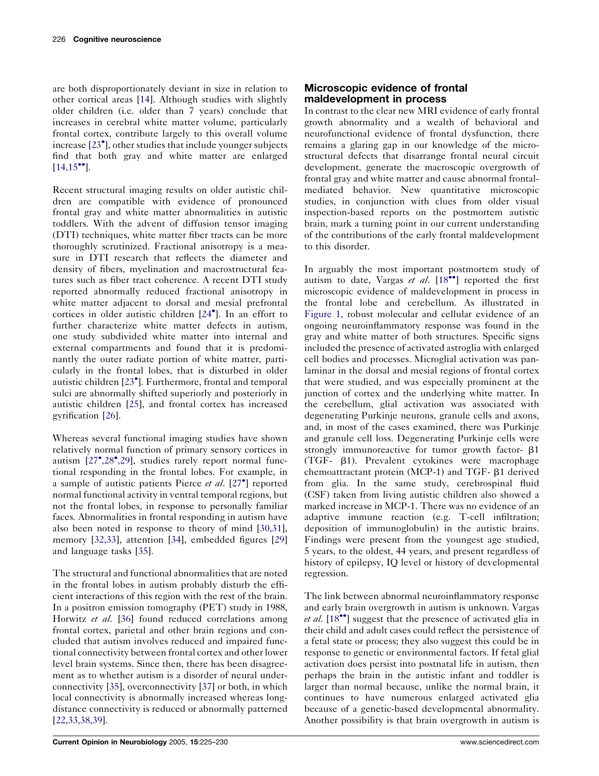are both disproportionately deviant in size in relation to other cortical areas [\[14](#page-4-0)]. Although studies with slightly older children (i.e. older than 7 years) conclude that increases in cerebral white matter volume, particularly frontal cortex, contribute largely to this overall volume increase [[23](#page-4-0) ], other studies that include younger subjects find that both gray and white matter are enlarged  $[14, 15$ <sup>\</sup> $]$ .

Recent structural imaging results on older autistic children are compatible with evidence of pronounced frontal gray and white matter abnormalities in autistic toddlers. With the advent of diffusion tensor imaging (DTI) techniques, white matter fiber tracts can be more thoroughly scrutinized. Fractional anisotropy is a measure in DTI research that reflects the diameter and density of fibers, myelination and macrostructural features such as fiber tract coherence. A recent DTI study reported abnormally reduced fractional anisotropy in white matter adjacent to dorsal and mesial prefrontal cortices in older autistic children [\[24](#page-5-0) ]. In an effort to further characterize white matter defects in autism, one study subdivided white matter into internal and external compartments and found that it is predominantly the outer radiate portion of white matter, particularly in the frontal lobes, that is disturbed in older autistic children [\[23](#page-4-0) ]. Furthermore, frontal and temporal sulci are abnormally shifted superiorly and posteriorly in autistic children [\[25](#page-5-0)], and frontal cortex has increased gyrification [[26\]](#page-5-0).

Whereas several functional imaging studies have shown relatively normal function of primary sensory cortices in autism [\[27](#page-5-0)°[,28](#page-5-0)°[,29\]](#page-5-0), studies rarely report normal functional responding in the frontal lobes. For example, in a sample of autistic patients Pierce et al. [\[27](#page-5-0)<sup>°</sup>] reported normal functional activity in ventral temporal regions, but not the frontal lobes, in response to personally familiar faces. Abnormalities in frontal responding in autism have also been noted in response to theory of mind [[30,31](#page-5-0)], memory [\[32,33\]](#page-5-0), attention [\[34](#page-5-0)], embedded figures [[29\]](#page-5-0) and language tasks [\[35](#page-5-0)].

The structural and functional abnormalities that are noted in the frontal lobes in autism probably disturb the efficient interactions of this region with the rest of the brain. In a positron emission tomography (PET) study in 1988, Horwitz et al. [[36\]](#page-5-0) found reduced correlations among frontal cortex, parietal and other brain regions and concluded that autism involves reduced and impaired functional connectivity between frontal cortex and other lower level brain systems. Since then, there has been disagreement as to whether autism is a disorder of neural underconnectivity [[35\]](#page-5-0), overconnectivity [[37\]](#page-5-0) or both, in which local connectivity is abnormally increased whereas longdistance connectivity is reduced or abnormally patterned [\[22,33,38,39\]](#page-4-0).

## Microscopic evidence of frontal maldevelopment in process

In contrast to the clear new MRI evidence of early frontal growth abnormality and a wealth of behavioral and neurofunctional evidence of frontal dysfunction, there remains a glaring gap in our knowledge of the microstructural defects that disarrange frontal neural circuit development, generate the macroscopic overgrowth of frontal gray and white matter and cause abnormal frontalmediated behavior. New quantitative microscopic studies, in conjunction with clues from older visual inspection-based reports on the postmortem autistic brain, mark a turning point in our current understanding of the contributions of the early frontal maldevelopment to this disorder.

In arguably the most important postmortem study of autism to date, Vargas et al.  $[18\bullet]$  $[18\bullet]$  reported the first microscopic evidence of maldevelopment in process in the frontal lobe and cerebellum. As illustrated in [Figure 1](#page-2-0), robust molecular and cellular evidence of an ongoing neuroinflammatory response was found in the gray and white matter of both structures. Specific signs included the presence of activated astroglia with enlarged cell bodies and processes. Microglial activation was panlaminar in the dorsal and mesial regions of frontal cortex that were studied, and was especially prominent at the junction of cortex and the underlying white matter. In the cerebellum, glial activation was associated with degenerating Purkinje neurons, granule cells and axons, and, in most of the cases examined, there was Purkinje and granule cell loss. Degenerating Purkinje cells were strongly immunoreactive for tumor growth factor- $\beta$ 1 (TGF- b1). Prevalent cytokines were macrophage chemoattractant protein (MCP-1) and TGF- $\beta$ 1 derived from glia. In the same study, cerebrospinal fluid (CSF) taken from living autistic children also showed a marked increase in MCP-1. There was no evidence of an adaptive immune reaction (e.g. T-cell infiltration; deposition of immunoglobulin) in the autistic brains. Findings were present from the youngest age studied, 5 years, to the oldest, 44 years, and present regardless of history of epilepsy, IQ level or history of developmental regression.

The link between abnormal neuroinflammatory response and early brain overgrowth in autism is unknown. Vargas *et al.*  $[18\text{°}$  $[18\text{°}$  $[18\text{°}$  suggest that the presence of activated glia in their child and adult cases could reflect the persistence of a fetal state or process; they also suggest this could be in response to genetic or environmental factors. If fetal glial activation does persist into postnatal life in autism, then perhaps the brain in the autistic infant and toddler is larger than normal because, unlike the normal brain, it continues to have numerous enlarged activated glia because of a genetic-based developmental abnormality. Another possibility is that brain overgrowth in autism is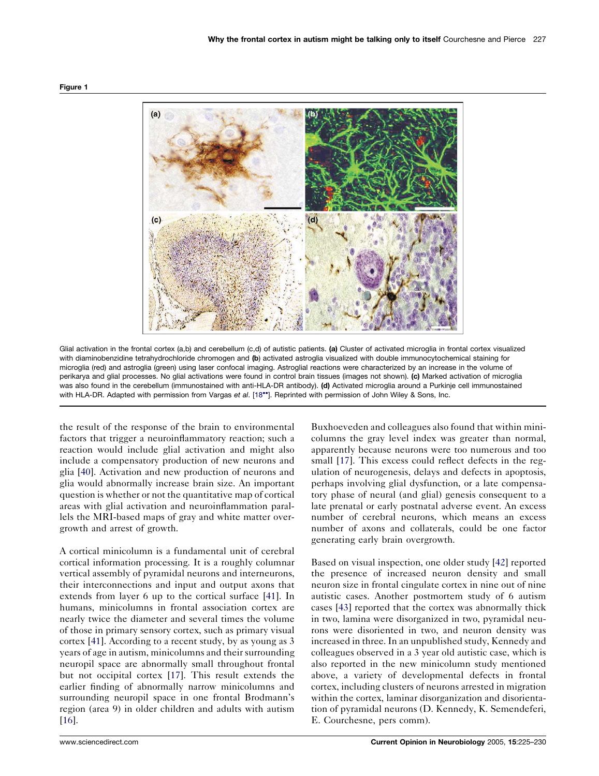

<span id="page-2-0"></span>Figure 1

Glial activation in the frontal cortex (a,b) and cerebellum (c,d) of autistic patients. (a) Cluster of activated microglia in frontal cortex visualized with diaminobenzidine tetrahydrochloride chromogen and (b) activated astroglia visualized with double immunocytochemical staining for microglia (red) and astroglia (green) using laser confocal imaging. Astroglial reactions were characterized by an increase in the volume of perikarya and glial processes. No glial activations were found in control brain tissues (images not shown). (c) Marked activation of microglia was also found in the cerebellum (immunostained with anti-HLA-DR antibody). (d) Activated microglia around a Purkinje cell immunostained with HLA-DR. Adapted with permission from Vargas et al. [\[18](#page-4-0)\*]. Reprinted with permission of John Wiley & Sons, Inc.

the result of the response of the brain to environmental factors that trigger a neuroinflammatory reaction; such a reaction would include glial activation and might also include a compensatory production of new neurons and glia [[40\]](#page-5-0). Activation and new production of neurons and glia would abnormally increase brain size. An important question is whether or not the quantitative map of cortical areas with glial activation and neuroinflammation parallels the MRI-based maps of gray and white matter overgrowth and arrest of growth.

A cortical minicolumn is a fundamental unit of cerebral cortical information processing. It is a roughly columnar vertical assembly of pyramidal neurons and interneurons, their interconnections and input and output axons that extends from layer 6 up to the cortical surface [\[41](#page-5-0)]. In humans, minicolumns in frontal association cortex are nearly twice the diameter and several times the volume of those in primary sensory cortex, such as primary visual cortex [\[41](#page-5-0)]. According to a recent study, by as young as 3 years of age in autism, minicolumns and their surrounding neuropil space are abnormally small throughout frontal but not occipital cortex [\[17](#page-4-0)]. This result extends the earlier finding of abnormally narrow minicolumns and surrounding neuropil space in one frontal Brodmann's region (area 9) in older children and adults with autism [\[16](#page-4-0)].

Buxhoeveden and colleagues also found that within minicolumns the gray level index was greater than normal, apparently because neurons were too numerous and too small [\[17](#page-4-0)]. This excess could reflect defects in the regulation of neurogenesis, delays and defects in apoptosis, perhaps involving glial dysfunction, or a late compensatory phase of neural (and glial) genesis consequent to a late prenatal or early postnatal adverse event. An excess number of cerebral neurons, which means an excess number of axons and collaterals, could be one factor generating early brain overgrowth.

Based on visual inspection, one older study [[42\]](#page-5-0) reported the presence of increased neuron density and small neuron size in frontal cingulate cortex in nine out of nine autistic cases. Another postmortem study of 6 autism cases [\[43](#page-5-0)] reported that the cortex was abnormally thick in two, lamina were disorganized in two, pyramidal neurons were disoriented in two, and neuron density was increased in three. In an unpublished study, Kennedy and colleagues observed in a 3 year old autistic case, which is also reported in the new minicolumn study mentioned above, a variety of developmental defects in frontal cortex, including clusters of neurons arrested in migration within the cortex, laminar disorganization and disorientation of pyramidal neurons (D. Kennedy, K. Semendeferi, E. Courchesne, pers comm).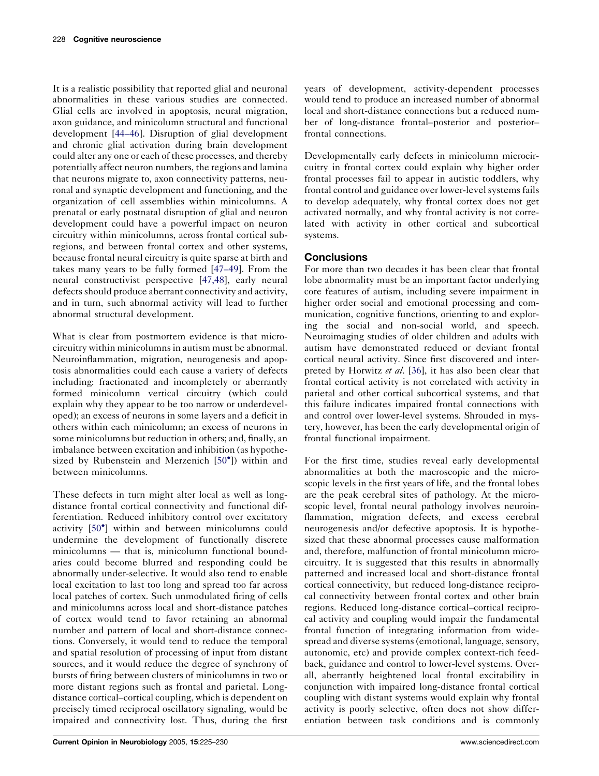It is a realistic possibility that reported glial and neuronal abnormalities in these various studies are connected. Glial cells are involved in apoptosis, neural migration, axon guidance, and minicolumn structural and functional development [[44–46\]](#page-5-0). Disruption of glial development and chronic glial activation during brain development could alter any one or each of these processes, and thereby potentially affect neuron numbers, the regions and lamina that neurons migrate to, axon connectivity patterns, neuronal and synaptic development and functioning, and the organization of cell assemblies within minicolumns. A prenatal or early postnatal disruption of glial and neuron development could have a powerful impact on neuron circuitry within minicolumns, across frontal cortical subregions, and between frontal cortex and other systems, because frontal neural circuitry is quite sparse at birth and takes many years to be fully formed [[47–49\]](#page-5-0). From the neural constructivist perspective [[47,48](#page-5-0)], early neural defects should produce aberrant connectivity and activity, and in turn, such abnormal activity will lead to further abnormal structural development.

What is clear from postmortem evidence is that microcircuitry within minicolumns in autism must be abnormal. Neuroinflammation, migration, neurogenesis and apoptosis abnormalities could each cause a variety of defects including: fractionated and incompletely or aberrantly formed minicolumn vertical circuitry (which could explain why they appear to be too narrow or underdeveloped); an excess of neurons in some layers and a deficit in others within each minicolumn; an excess of neurons in some minicolumns but reduction in others; and, finally, an imbalance between excitation and inhibition (as hypothe-sized by Rubenstein and Merzenich [\[50](#page-5-0)°]) within and between minicolumns.

These defects in turn might alter local as well as longdistance frontal cortical connectivity and functional differentiation. Reduced inhibitory control over excitatory activity [[50](#page-5-0) ] within and between minicolumns could undermine the development of functionally discrete minicolumns — that is, minicolumn functional boundaries could become blurred and responding could be abnormally under-selective. It would also tend to enable local excitation to last too long and spread too far across local patches of cortex. Such unmodulated firing of cells and minicolumns across local and short-distance patches of cortex would tend to favor retaining an abnormal number and pattern of local and short-distance connections. Conversely, it would tend to reduce the temporal and spatial resolution of processing of input from distant sources, and it would reduce the degree of synchrony of bursts of firing between clusters of minicolumns in two or more distant regions such as frontal and parietal. Longdistance cortical–cortical coupling, which is dependent on precisely timed reciprocal oscillatory signaling, would be impaired and connectivity lost. Thus, during the first

years of development, activity-dependent processes would tend to produce an increased number of abnormal local and short-distance connections but a reduced number of long-distance frontal–posterior and posterior– frontal connections.

Developmentally early defects in minicolumn microcircuitry in frontal cortex could explain why higher order frontal processes fail to appear in autistic toddlers, why frontal control and guidance over lower-level systems fails to develop adequately, why frontal cortex does not get activated normally, and why frontal activity is not correlated with activity in other cortical and subcortical systems.

## **Conclusions**

For more than two decades it has been clear that frontal lobe abnormality must be an important factor underlying core features of autism, including severe impairment in higher order social and emotional processing and communication, cognitive functions, orienting to and exploring the social and non-social world, and speech. Neuroimaging studies of older children and adults with autism have demonstrated reduced or deviant frontal cortical neural activity. Since first discovered and inter-preted by Horwitz et al. [[36\]](#page-5-0), it has also been clear that frontal cortical activity is not correlated with activity in parietal and other cortical subcortical systems, and that this failure indicates impaired frontal connections with and control over lower-level systems. Shrouded in mystery, however, has been the early developmental origin of frontal functional impairment.

For the first time, studies reveal early developmental abnormalities at both the macroscopic and the microscopic levels in the first years of life, and the frontal lobes are the peak cerebral sites of pathology. At the microscopic level, frontal neural pathology involves neuroinflammation, migration defects, and excess cerebral neurogenesis and/or defective apoptosis. It is hypothesized that these abnormal processes cause malformation and, therefore, malfunction of frontal minicolumn microcircuitry. It is suggested that this results in abnormally patterned and increased local and short-distance frontal cortical connectivity, but reduced long-distance reciprocal connectivity between frontal cortex and other brain regions. Reduced long-distance cortical–cortical reciprocal activity and coupling would impair the fundamental frontal function of integrating information from widespread and diverse systems (emotional, language, sensory, autonomic, etc) and provide complex context-rich feedback, guidance and control to lower-level systems. Overall, aberrantly heightened local frontal excitability in conjunction with impaired long-distance frontal cortical coupling with distant systems would explain why frontal activity is poorly selective, often does not show differentiation between task conditions and is commonly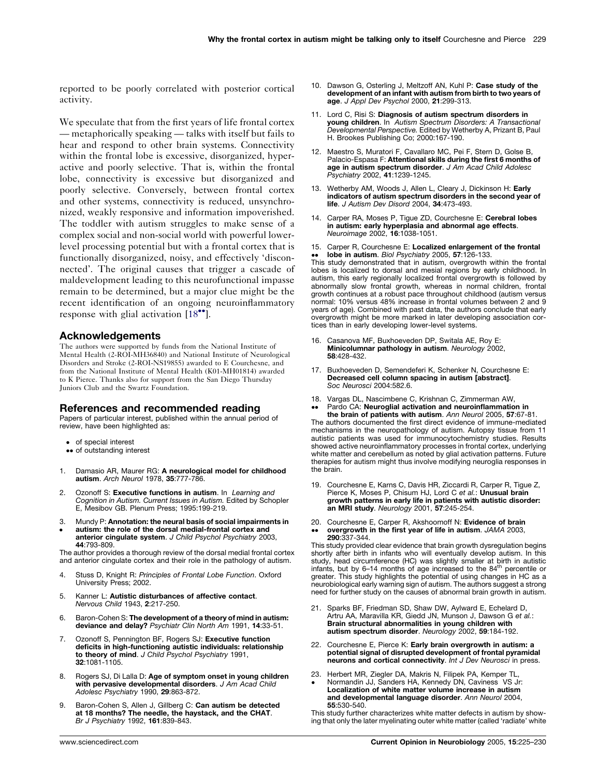<span id="page-4-0"></span>reported to be poorly correlated with posterior cortical activity.

We speculate that from the first years of life frontal cortex — metaphorically speaking — talks with itself but fails to hear and respond to other brain systems. Connectivity within the frontal lobe is excessive, disorganized, hyperactive and poorly selective. That is, within the frontal lobe, connectivity is excessive but disorganized and poorly selective. Conversely, between frontal cortex and other systems, connectivity is reduced, unsynchronized, weakly responsive and information impoverished. The toddler with autism struggles to make sense of a complex social and non-social world with powerful lowerlevel processing potential but with a frontal cortex that is functionally disorganized, noisy, and effectively 'disconnected'. The original causes that trigger a cascade of maldevelopment leading to this neurofunctional impasse remain to be determined, but a major clue might be the recent identification of an ongoing neuroinflammatory response with glial activation  $[18\text{°}$ .

#### Acknowledgements

The authors were supported by funds from the National Institute of Mental Health (2-ROI-MH36840) and National Institute of Neurological Disorders and Stroke (2-ROI-NS19855) awarded to E Courchesne, and from the National Institute of Mental Health (K01-MH01814) awarded to K Pierce. Thanks also for support from the San Diego Thursday Juniors Club and the Swartz Foundation.

#### References and recommended reading

Papers of particular interest, published within the annual period of review, have been highlighted as:

- of special interest
- of outstanding interest
- 1. Damasio AR, Maurer RG: A neurological model for childhood autism. Arch Neurol 1978, 35:777-786.
- 2. Ozonoff S: Executive functions in autism. In Learning and Cognition in Autism. Current Issues in Autism. Edited by Schopler E, Mesibov GB. Plenum Press; 1995:199-219.
- 3.  $\bullet$ Mundy P: Annotation: the neural basis of social impairments in autism: the role of the dorsal medial-frontal cortex and
- anterior cingulate system. J Child Psychol Psychiatry 2003, 44:793-809.

The author provides a thorough review of the dorsal medial frontal cortex and anterior cingulate cortex and their role in the pathology of autism.

- 4. Stuss D, Knight R: Principles of Frontal Lobe Function. Oxford University Press; 2002.
- 5. Kanner L: Autistic disturbances of affective contact. Nervous Child 1943, 2:217-250.
- 6. Baron-Cohen S: The development of a theory of mind in autism: deviance and delay? Psychiatr Clin North Am 1991, 14:33-51.
- 7. Ozonoff S, Pennington BF, Rogers SJ: Executive function deficits in high-functioning autistic individuals: relationship to theory of mind. J Child Psychol Psychiatry 1991, 32:1081-1105.
- 8. Rogers SJ, Di Lalla D: Age of symptom onset in young children with pervasive developmental disorders. J Am Acad Child Adolesc Psychiatry 1990, 29:863-872.
- 9. Baron-Cohen S, Allen J, Gillberg C: Can autism be detected at 18 months? The needle, the haystack, and the CHAT. Br J Psychiatry 1992, 161:839-843.
- 10. Dawson G, Osterling J, Meltzoff AN, Kuhl P: Case study of the development of an infant with autism from birth to two years of age. J Appl Dev Psychol 2000, 21:299-313.
- 11. Lord C, Risi S: Diagnosis of autism spectrum disorders in **young children**. In Autism Spectrum Disorders: A Transactional<br>Developmental Perspective. Edited by Wetherby A, Prizant B, Paul H. Brookes Publishing Co; 2000:167-190.
- 12. Maestro S, Muratori F, Cavallaro MC, Pei F, Stern D, Golse B, Palacio-Espasa F: Attentional skills during the first 6 months of age in autism spectrum disorder. J Am Acad Child Adolesc Psychiatry 2002, 41:1239-1245.
- 13. Wetherby AM, Woods J, Allen L, Cleary J, Dickinson H: Early indicators of autism spectrum disorders in the second year of life. J Autism Dev Disord 2004, 34:473-493.
- 14. Carper RA, Moses P, Tique ZD, Courchesne E: Cerebral lobes in autism: early hyperplasia and abnormal age effects.<br>*Neuroimage* 2002, 16:1038-1051.
- 15. .. Carper R, Courchesne E: Localized enlargement of the frontal lobe in autism. Biol Psychiatry 2005, 57:126-133.

This study demonstrated that in autism, overgrowth within the frontal lobes is localized to dorsal and mesial regions by early childhood. In autism, this early regionally localized frontal overgrowth is followed by abnormally slow frontal growth, whereas in normal children, frontal growth continues at a robust pace throughout childhood (autism versus normal: 10% versus 48% increase in frontal volumes between 2 and 9 years of age). Combined with past data, the authors conclude that early overgrowth might be more marked in later developing association cortices than in early developing lower-level systems.

- 16. Casanova MF, Buxhoeveden DP, Switala AE, Roy E: Minicolumnar pathology in autism. Neurology 2002, 58:428-432.
- 17. Buxhoeveden D, Semendeferi K, Schenker N, Courchesne E: Decreased cell column spacing in autism [abstract]. Soc Neurosci 2004:582.6.
- 18. Vargas DL, Nascimbene C, Krishnan C, Zimmerman AW,
- .. Pardo CA: Neuroglial activation and neuroinflammation in the brain of patients with autism. Ann Neurol 2005, 57:67-81. The authors documented the first direct evidence of immune-mediated mechanisms in the neuropathology of autism. Autopsy tissue from 11 autistic patients was used for immunocytochemistry studies. Results showed active neuroinflammatory processes in frontal cortex, underlying white matter and cerebellum as noted by glial activation patterns. Future therapies for autism might thus involve modifying neuroglia responses in the brain.
- 19. Courchesne E, Karns C, Davis HR, Ziccardi R, Carper R, Tigue Z, Pierce K, Moses P, Chisum HJ, Lord C et al.: Unusual brain growth patterns in early life in patients with autistic disorder: an MRI study. Neurology 2001, 57:245-254.
- 20. Courchesne E, Carper R, Akshoomoff N: Evidence of brain
- $\bullet\bullet$ overgrowth in the first year of life in autism. JAMA 2003, 290:337-344.

This study provided clear evidence that brain growth dysregulation begins shortly after birth in infants who will eventually develop autism. In this study, head circumference (HC) was slightly smaller at birth in autistic infants, but by 6–14 months of age increased to the  $84<sup>th</sup>$  percentile or greater. This study highlights the potential of using changes in HC as a neurobiological early warning sign of autism. The authors suggest a strong need for further study on the causes of abnormal brain growth in autism.

- 21. Sparks BF, Friedman SD, Shaw DW, Aylward E, Echelard D, Artru AA, Maravilla KR, Giedd JN, Munson J, Dawson G et al.: Brain structural abnormalities in young children with autism spectrum disorder. Neurology 2002, 59:184-192.
- 22. Courchesne E, Pierce K: Early brain overgrowth in autism: a potential signal of disrupted development of frontal pyramidal neurons and cortical connectivity. Int J Dev Neurosci in press.
- 23. Herbert MR, Ziegler DA, Makris N, Filipek PA, Kemper TL,  $\bullet$ Normandin JJ, Sanders HA, Kennedy DN, Caviness VS Jr: Localization of white matter volume increase in autism and developmental language disorder. Ann Neurol 2004, 55:530-540.

This study further characterizes white matter defects in autism by showing that only the later myelinating outer white matter (called 'radiate' white